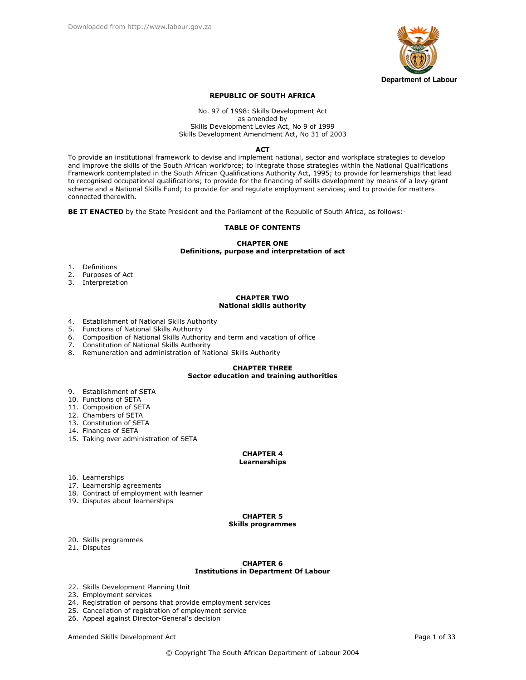

## **REPUBLIC OF SOUTH AFRICA**

### No. 97 of 1998: Skills Development Act as amended by Skills Development Levies Act, No 9 of 1999 Skills Development Amendment Act. No 31 of 2003

### **ACT**

To provide an institutional framework to devise and implement national, sector and workplace strategies to develop and improve the skills of the South African workforce; to integrate those strategies within the National Qualifications Framework contemplated in the South African Qualifications Authority Act, 1995; to provide for learnerships that lead to recognised occupational qualifications; to provide for the financing of skills development by means of a levy-grant scheme and a National Skills Fund; to provide for and regulate employment services; and to provide for matters connected therewith.

BE IT ENACTED by the State President and the Parliament of the Republic of South Africa, as follows:-

## **TABLE OF CONTENTS**

## **CHAPTER ONE** Definitions, purpose and interpretation of act

- 1. Definitions
- 2. Purposes of Act
- 3. Interpretation

## **CHAPTER TWO National skills authority**

- 4. Establishment of National Skills Authority
- 5. Functions of National Skills Authority
- 6. Composition of National Skills Authority and term and vacation of office
- 
- 7. Constitution of National Skills Authority<br>8. Remuneration and administration of National Skills Authority

# **CHAPTER THREE** Sector education and training authorities

- 9. Establishment of SETA
- 10. Functions of SETA
- 11. Composition of SETA
- 12. Chambers of SETA
- 13. Constitution of SETA
- 14. Finances of SETA
- 15. Taking over administration of SETA

# **CHAPTER 4**

# Learnerships

- 16. Learnerships
- 17. Learnership agreements
- 18. Contract of employment with learner
- 19. Disputes about learnerships

# **CHAPTER 5**

## **Skills programmes**

- 20. Skills programmes
- 21. Disputes

### **CHAPTER 6 Institutions in Department Of Labour**

- 22. Skills Development Planning Unit
- 23. Employment services
- 24. Registration of persons that provide employment services
- 25. Cancellation of registration of employment service
- 26. Appeal against Director-General's decision

Amended Skills Development Act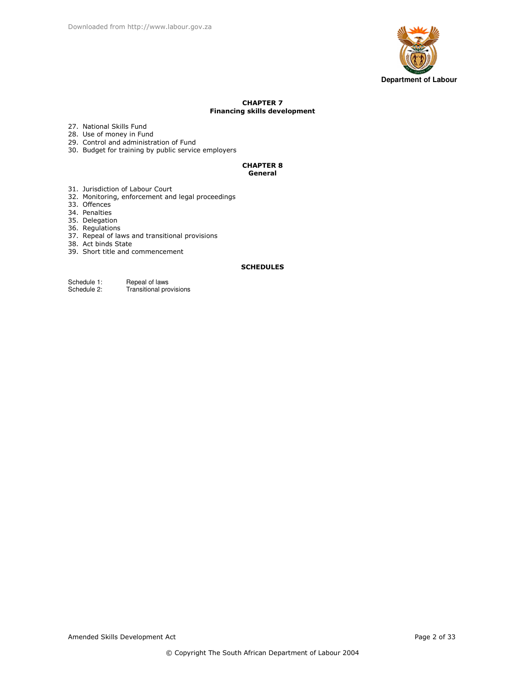

# **CHAPTER 7 Financing skills development**

- 27. National Skills Fund
- 28. Use of money in Fund
- 29. Control and administration of Fund
- 30. Budget for training by public service employers

## **CHAPTER 8** General

- 31. Jurisdiction of Labour Court
- 32. Monitoring, enforcement and legal proceedings
- 33. Offences
- 34. Penalties
- 
- 35. Delegation<br>36. Regulations
- 37. Repeal of laws and transitional provisions
- 38. Act binds State
- 39. Short title and commencement

# **SCHEDULES**

Repeal of laws<br>Transitional provisions Schedule 1: Schedule 2: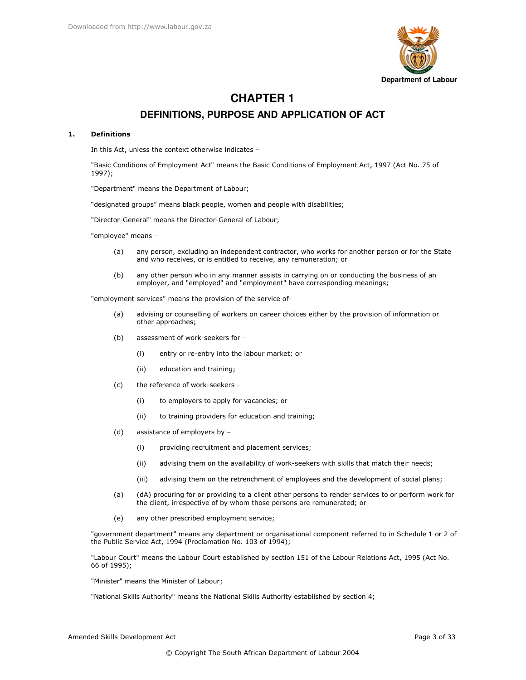

# **CHAPTER 1** DEFINITIONS, PURPOSE AND APPLICATION OF ACT

#### **Definitions**  $\mathbf{1}$ .

In this Act, unless the context otherwise indicates -

"Basic Conditions of Employment Act" means the Basic Conditions of Employment Act, 1997 (Act No. 75 of  $1997$ :

"Department" means the Department of Labour;

"designated groups" means black people, women and people with disabilities;

"Director-General" means the Director-General of Labour;

"employee" means -

- any person, excluding an independent contractor, who works for another person or for the State  $(a)$ and who receives, or is entitled to receive, any remuneration; or
- $(b)$ any other person who in any manner assists in carrying on or conducting the business of an employer, and "employed" and "employment" have corresponding meanings;

"employment services" means the provision of the service of-

- $(a)$ advising or counselling of workers on career choices either by the provision of information or other approaches;
- $(b)$ assessment of work-seekers for -
	- $(i)$ entry or re-entry into the labour market; or
	- $(ii)$ education and training;
- $(c)$ the reference of work-seekers -
	- $(i)$ to employers to apply for vacancies; or
	- $(ii)$ to training providers for education and training;
- $(d)$ assistance of employers by
	- providing recruitment and placement services;  $(i)$
	- $(ii)$ advising them on the availability of work-seekers with skills that match their needs;
	- $(iii)$ advising them on the retrenchment of employees and the development of social plans;
- (dA) procuring for or providing to a client other persons to render services to or perform work for  $(a)$ the client, irrespective of by whom those persons are remunerated; or
- $(e)$ any other prescribed employment service;

"government department" means any department or organisational component referred to in Schedule 1 or 2 of the Public Service Act, 1994 (Proclamation No. 103 of 1994);

"Labour Court" means the Labour Court established by section 151 of the Labour Relations Act, 1995 (Act No. 66 of 1995);

"Minister" means the Minister of Labour;

"National Skills Authority" means the National Skills Authority established by section 4;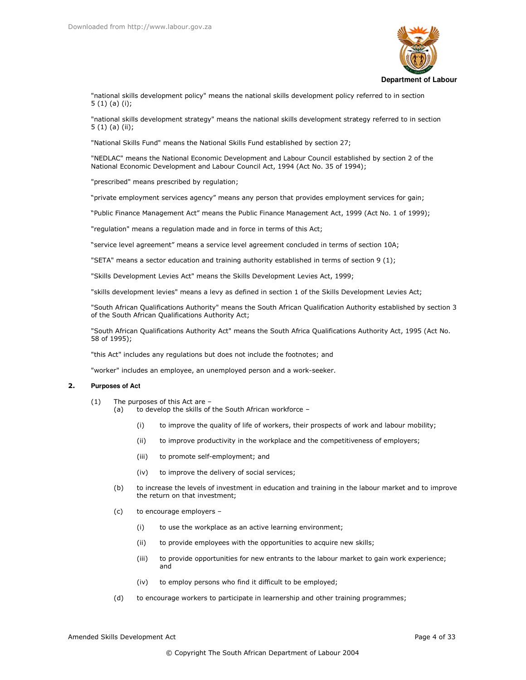

"national skills development policy" means the national skills development policy referred to in section  $5(1)(a)(i);$ 

"national skills development strategy" means the national skills development strategy referred to in section  $5(1)(a)(ii);$ 

"National Skills Fund" means the National Skills Fund established by section 27;

"NEDLAC" means the National Economic Development and Labour Council established by section 2 of the National Economic Development and Labour Council Act, 1994 (Act No. 35 of 1994);

"prescribed" means prescribed by regulation;

"private employment services agency" means any person that provides employment services for gain;

"Public Finance Management Act" means the Public Finance Management Act, 1999 (Act No. 1 of 1999);

"regulation" means a regulation made and in force in terms of this Act;

"service level agreement" means a service level agreement concluded in terms of section 10A;

"SETA" means a sector education and training authority established in terms of section 9 (1);

"Skills Development Levies Act" means the Skills Development Levies Act, 1999;

"skills development levies" means a levy as defined in section 1 of the Skills Development Levies Act;

"South African Qualifications Authority" means the South African Qualification Authority established by section 3 of the South African Qualifications Authority Act;

"South African Qualifications Authority Act" means the South Africa Qualifications Authority Act, 1995 (Act No. 58 of 1995);

"this Act" includes any regulations but does not include the footnotes; and

"worker" includes an employee, an unemployed person and a work-seeker.

#### $2.$ **Purposes of Act**

- The purposes of this Act are - $(1)$ 
	- to develop the skills of the South African workforce - $(a)$ 
		- to improve the quality of life of workers, their prospects of work and labour mobility;  $(i)$
		- to improve productivity in the workplace and the competitiveness of employers;  $(i)$
		- $(iii)$ to promote self-employment; and
		- to improve the delivery of social services;  $(iv)$
	- $(b)$ to increase the levels of investment in education and training in the labour market and to improve the return on that investment;
	- $(c)$ to encourage employers -
		- $(i)$ to use the workplace as an active learning environment;
		- $(ii)$ to provide employees with the opportunities to acquire new skills;
		- $(iii)$ to provide opportunities for new entrants to the labour market to gain work experience; and
		- to employ persons who find it difficult to be employed;  $(iv)$
	- $(d)$ to encourage workers to participate in learnership and other training programmes;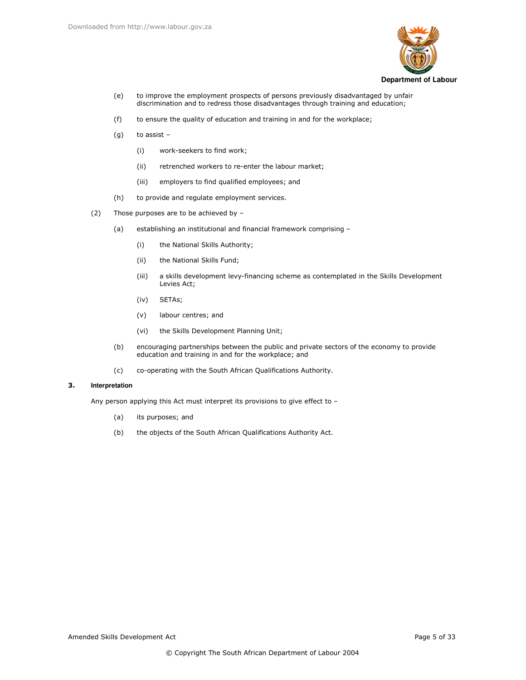

- to improve the employment prospects of persons previously disadvantaged by unfair  $(e)$ discrimination and to redress those disadvantages through training and education;
- $(f)$ to ensure the quality of education and training in and for the workplace;
- to assist  $(g)$ 
	- work-seekers to find work;  $(i)$
	- $(ii)$ retrenched workers to re-enter the labour market;
	- $(iii)$ employers to find qualified employees; and
- $(h)$ to provide and regulate employment services.
- $(2)$ Those purposes are to be achieved by
	- establishing an institutional and financial framework comprising - $(a)$ 
		- the National Skills Authority;  $(i)$
		- $(ii)$ the National Skills Fund;
		- $(iii)$ a skills development levy-financing scheme as contemplated in the Skills Development Levies Act;
		- SETAs;  $(iv)$
		- $(v)$ labour centres; and
		- $(vi)$ the Skills Development Planning Unit;
	- $(b)$ encouraging partnerships between the public and private sectors of the economy to provide education and training in and for the workplace; and
	- co-operating with the South African Qualifications Authority.  $(c)$

#### 3. Interpretation

Any person applying this Act must interpret its provisions to give effect to -

- $(a)$ its purposes; and
- $(b)$ the objects of the South African Qualifications Authority Act.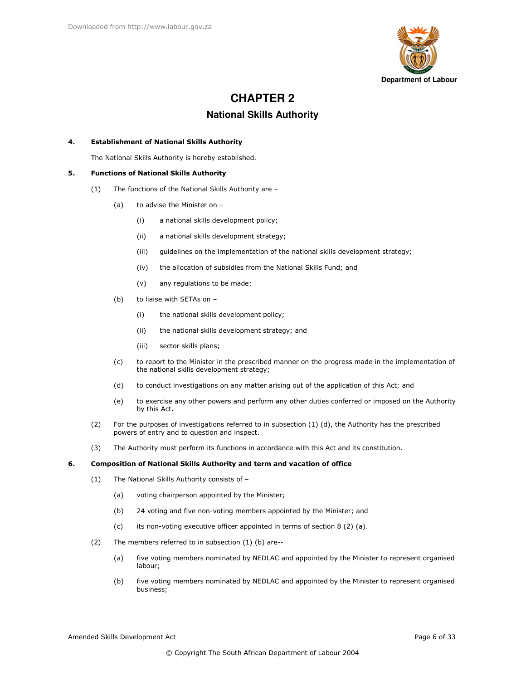

# **CHAPTER 2**

# **National Skills Authority**

#### $4.$ **Establishment of National Skills Authority**

The National Skills Authority is hereby established.

#### 5. **Functions of National Skills Authority**

- The functions of the National Skills Authority are - $(1)$ 
	- $(a)$ to advise the Minister on -
		- $(i)$ a national skills development policy;
		- $(ii)$ a national skills development strategy;
		- $(iii)$ quidelines on the implementation of the national skills development strategy;
		- $(iv)$ the allocation of subsidies from the National Skills Fund; and
		- $(v)$ any regulations to be made;
	- $(b)$ to liaise with SETAs on -
		- $(i)$ the national skills development policy;
		- $(ii)$ the national skills development strategy; and
		- $(iii)$ sector skills plans;
	- to report to the Minister in the prescribed manner on the progress made in the implementation of  $(c)$ the national skills development strategy;
	- $(d)$ to conduct investigations on any matter arising out of the application of this Act; and
	- to exercise any other powers and perform any other duties conferred or imposed on the Authority  $(e)$ by this Act.
- $(2)$ For the purposes of investigations referred to in subsection  $(1)$   $(d)$ , the Authority has the prescribed powers of entry and to question and inspect.
- $(3)$ The Authority must perform its functions in accordance with this Act and its constitution.

#### 6. Composition of National Skills Authority and term and vacation of office

- The National Skills Authority consists of - $(1)$ 
	- voting chairperson appointed by the Minister;  $(a)$
	- $(b)$ 24 voting and five non-voting members appointed by the Minister; and
	- its non-voting executive officer appointed in terms of section 8 (2) (a).  $(c)$
- $(2)$ The members referred to in subsection (1) (b) are-
	- five voting members nominated by NEDLAC and appointed by the Minister to represent organised  $(a)$ labour:
	- $(b)$ five voting members nominated by NEDLAC and appointed by the Minister to represent organised business;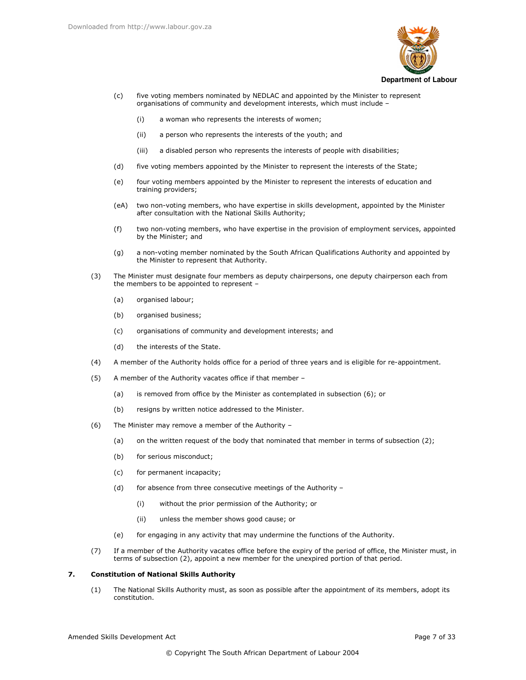

- five voting members nominated by NEDLAC and appointed by the Minister to represent  $(c)$ organisations of community and development interests, which must include
	- a woman who represents the interests of women;  $(i)$
	- $(ii)$ a person who represents the interests of the youth; and
	- a disabled person who represents the interests of people with disabilities;  $(iii)$
- $(d)$ five voting members appointed by the Minister to represent the interests of the State;
- four voting members appointed by the Minister to represent the interests of education and  $(e)$ training providers;
- (eA) two non-voting members, who have expertise in skills development, appointed by the Minister after consultation with the National Skills Authority;
- two non-voting members, who have expertise in the provision of employment services, appointed  $(f)$ by the Minister; and
- a non-voting member nominated by the South African Qualifications Authority and appointed by  $(a)$ the Minister to represent that Authority.
- $(3)$ The Minister must designate four members as deputy chairpersons, one deputy chairperson each from the members to be appointed to represent
	- organised labour;  $(a)$
	- $(b)$ organised business;
	- $(c)$ organisations of community and development interests; and
	- $(d)$ the interests of the State.
- A member of the Authority holds office for a period of three years and is eligible for re-appointment.  $(4)$
- $(5)$ A member of the Authority vacates office if that member
	- is removed from office by the Minister as contemplated in subsection (6); or  $(a)$
	- $(b)$ resigns by written notice addressed to the Minister.
- $(6)$ The Minister may remove a member of the Authority
	- on the written request of the body that nominated that member in terms of subsection (2);  $(a)$
	- $(b)$ for serious misconduct;
	- $(c)$ for permanent incapacity;
	- $(d)$ for absence from three consecutive meetings of the Authority -
		- $(i)$ without the prior permission of the Authority; or
		- $(ii)$ unless the member shows good cause; or
	- $(e)$ for engaging in any activity that may undermine the functions of the Authority.
- $(7)$ If a member of the Authority vacates office before the expiry of the period of office, the Minister must, in terms of subsection (2), appoint a new member for the unexpired portion of that period.

#### $\overline{z}$ **Constitution of National Skills Authority**

The National Skills Authority must, as soon as possible after the appointment of its members, adopt its  $(1)$ constitution.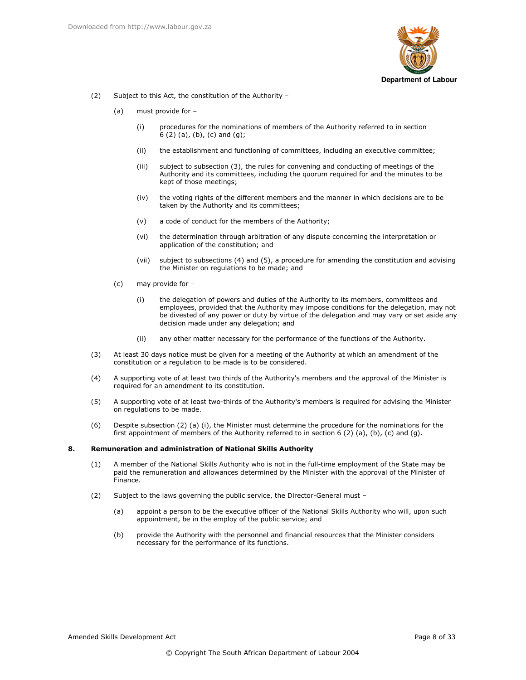

- $(2)$ Subject to this Act, the constitution of the Authority -
	- $(a)$ must provide for
		- procedures for the nominations of members of the Authority referred to in section  $(i)$  $6(2)(a)$ ,  $(b)$ ,  $(c)$  and  $(g)$ ;
		- $(ii)$ the establishment and functioning of committees, including an executive committee;
		- $(iii)$ subject to subsection (3), the rules for convening and conducting of meetings of the Authority and its committees, including the quorum required for and the minutes to be kept of those meetings;
		- the voting rights of the different members and the manner in which decisions are to be  $(iv)$ taken by the Authority and its committees;
		- $(v)$ a code of conduct for the members of the Authority;
		- (vi) the determination through arbitration of any dispute concerning the interpretation or application of the constitution; and
		- subject to subsections (4) and (5), a procedure for amending the constitution and advising  $(vii)$ the Minister on regulations to be made; and
	- $(c)$ may provide for
		- the delegation of powers and duties of the Authority to its members, committees and  $(i)$ employees, provided that the Authority may impose conditions for the delegation, may not be divested of any power or duty by virtue of the delegation and may vary or set aside any decision made under any delegation; and
		- $(ii)$ any other matter necessary for the performance of the functions of the Authority.
- $(3)$ At least 30 days notice must be given for a meeting of the Authority at which an amendment of the constitution or a regulation to be made is to be considered.
- A supporting vote of at least two thirds of the Authority's members and the approval of the Minister is  $(4)$ required for an amendment to its constitution.
- $(5)$ A supporting vote of at least two-thirds of the Authority's members is required for advising the Minister on regulations to be made.
- Despite subsection (2) (a) (i), the Minister must determine the procedure for the nominations for the  $(6)$ first appointment of members of the Authority referred to in section  $6(2)(a)$ ,  $(b)$ ,  $(c)$  and  $(g)$ .

#### 8. Remuneration and administration of National Skills Authority

- A member of the National Skills Authority who is not in the full-time employment of the State may be  $(1)$ paid the remuneration and allowances determined by the Minister with the approval of the Minister of Finance.
- $(2)$ Subject to the laws governing the public service, the Director-General must
	- appoint a person to be the executive officer of the National Skills Authority who will, upon such  $(a)$ appointment, be in the employ of the public service; and
	- $(b)$ provide the Authority with the personnel and financial resources that the Minister considers necessary for the performance of its functions.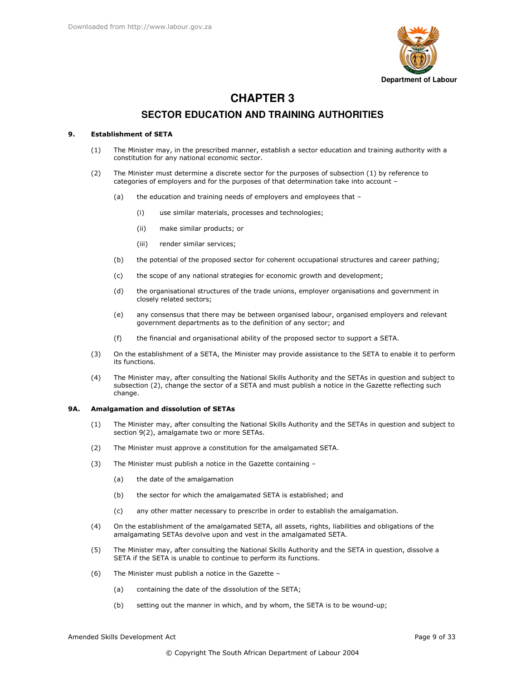

# **CHAPTER 3**

# **SECTOR EDUCATION AND TRAINING AUTHORITIES**

#### **Establishment of SETA** 9.

- The Minister may, in the prescribed manner, establish a sector education and training authority with a  $(1)$ constitution for any national economic sector.
- $(2)$ The Minister must determine a discrete sector for the purposes of subsection (1) by reference to categories of employers and for the purposes of that determination take into account
	- the education and training needs of employers and employees that - $(a)$ 
		- use similar materials, processes and technologies;  $(i)$
		- $(ii)$ make similar products; or
		- $(iii)$ render similar services;
	- $(b)$ the potential of the proposed sector for coherent occupational structures and career pathing;
	- $(c)$ the scope of any national strategies for economic growth and development;
	- $(d)$ the organisational structures of the trade unions, employer organisations and government in closely related sectors;
	- $(e)$ any consensus that there may be between organised labour, organised employers and relevant government departments as to the definition of any sector; and
	- $(f)$ the financial and organisational ability of the proposed sector to support a SETA.
- $(3)$ On the establishment of a SETA, the Minister may provide assistance to the SETA to enable it to perform its functions.
- $(4)$ The Minister may, after consulting the National Skills Authority and the SETAs in question and subject to subsection (2), change the sector of a SETA and must publish a notice in the Gazette reflecting such change.

#### **9A.** Amalgamation and dissolution of SETAs

- $(1)$ The Minister may, after consulting the National Skills Authority and the SETAs in question and subject to section 9(2), amalgamate two or more SETAs.
- $(2)$ The Minister must approve a constitution for the amalgamated SETA.
- $(3)$ The Minister must publish a notice in the Gazette containing
	- the date of the amalgamation  $(a)$
	- $(b)$ the sector for which the amalgamated SETA is established; and
	- $(c)$ any other matter necessary to prescribe in order to establish the amalgamation.
- $(4)$ On the establishment of the amalgamated SETA, all assets, rights, liabilities and obligations of the amalgamating SETAs devolve upon and vest in the amalgamated SETA.
- The Minister may, after consulting the National Skills Authority and the SETA in question, dissolve a  $(5)$ SETA if the SETA is unable to continue to perform its functions.
- $(6)$ The Minister must publish a notice in the Gazette
	- containing the date of the dissolution of the SETA;  $(a)$
	- $(b)$ setting out the manner in which, and by whom, the SETA is to be wound-up;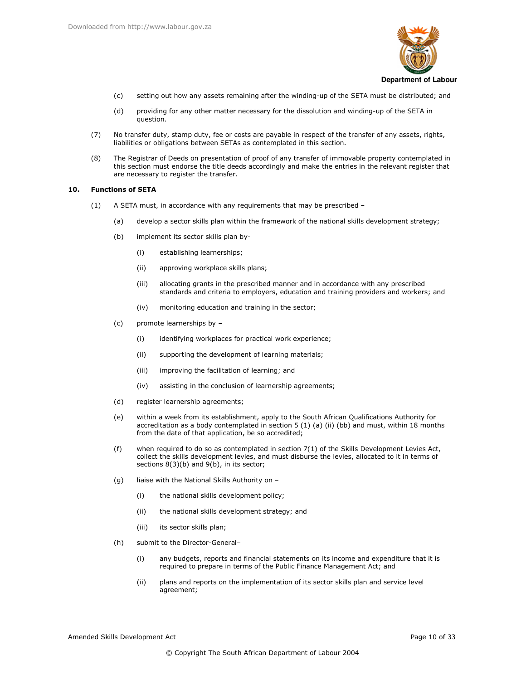

- $(c)$ setting out how any assets remaining after the winding-up of the SETA must be distributed; and
- $(d)$ providing for any other matter necessary for the dissolution and winding-up of the SETA in question.
- No transfer duty, stamp duty, fee or costs are payable in respect of the transfer of any assets, rights,  $(7)$ liabilities or obligations between SETAs as contemplated in this section.
- The Registrar of Deeds on presentation of proof of any transfer of immovable property contemplated in  $(8)$ this section must endorse the title deeds accordingly and make the entries in the relevant register that are necessary to register the transfer.

#### $10<sub>1</sub>$ **Functions of SETA**

- A SETA must, in accordance with any requirements that may be prescribed - $(1)$ 
	- $(a)$ develop a sector skills plan within the framework of the national skills development strategy;
	- $(b)$ implement its sector skills plan by-
		- $(i)$ establishing learnerships;
		- $(ii)$ approving workplace skills plans;
		- $(iii)$ allocating grants in the prescribed manner and in accordance with any prescribed standards and criteria to employers, education and training providers and workers; and
		- $(iv)$ monitoring education and training in the sector;
	- $(c)$ promote learnerships by
		- identifying workplaces for practical work experience;  $(i)$
		- $(ii)$ supporting the development of learning materials;
		- $(iii)$ improving the facilitation of learning; and
		- $(iv)$ assisting in the conclusion of learnership agreements;
	- $(d)$ register learnership agreements;
	- within a week from its establishment, apply to the South African Qualifications Authority for (e) accreditation as a body contemplated in section 5 (1) (a) (ii) (bb) and must, within 18 months from the date of that application, be so accredited;
	- when required to do so as contemplated in section  $7(1)$  of the Skills Development Levies Act,  $(f)$ collect the skills development levies, and must disburse the levies, allocated to it in terms of sections  $8(3)(b)$  and  $9(b)$ , in its sector;
	- $(q)$ liaise with the National Skills Authority on
		- the national skills development policy;  $(i)$
		- $(ii)$ the national skills development strategy; and
		- $(iii)$ its sector skills plan;
	- $(h)$ submit to the Director-General
		- any budgets, reports and financial statements on its income and expenditure that it is  $(i)$ required to prepare in terms of the Public Finance Management Act; and
		- $(ii)$ plans and reports on the implementation of its sector skills plan and service level agreement;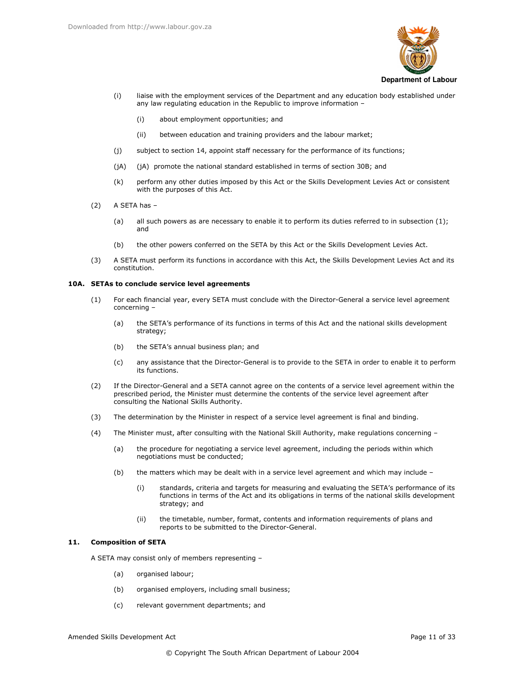

- liaise with the employment services of the Department and any education body established under  $(i)$ any law regulating education in the Republic to improve information -
	- $(i)$ about employment opportunities; and
	- $(iii)$ between education and training providers and the labour market;
- $(i)$ subject to section 14, appoint staff necessary for the performance of its functions;
- $(jA)$ (jA) promote the national standard established in terms of section 30B; and
- perform any other duties imposed by this Act or the Skills Development Levies Act or consistent  $(k)$ with the purposes of this Act.
- A SETA has - $(2)$ 
	- $(a)$ all such powers as are necessary to enable it to perform its duties referred to in subsection (1); and
	- the other powers conferred on the SETA by this Act or the Skills Development Levies Act.  $(b)$
- A SETA must perform its functions in accordance with this Act, the Skills Development Levies Act and its  $(3)$ constitution.

### 10A. SETAs to conclude service level agreements

- For each financial year, every SETA must conclude with the Director-General a service level agreement  $(1)$ concerning -
	- $(a)$ the SETA's performance of its functions in terms of this Act and the national skills development strategy;
	- $(b)$ the SETA's annual business plan; and
	- any assistance that the Director-General is to provide to the SETA in order to enable it to perform  $(c)$ its functions.
- $(2)$ If the Director-General and a SETA cannot agree on the contents of a service level agreement within the prescribed period, the Minister must determine the contents of the service level agreement after consulting the National Skills Authority.
- $(3)$ The determination by the Minister in respect of a service level agreement is final and binding.
- $(4)$ The Minister must, after consulting with the National Skill Authority, make regulations concerning
	- the procedure for negotiating a service level agreement, including the periods within which  $(a)$ negotiations must be conducted;
	- $(b)$ the matters which may be dealt with in a service level agreement and which may include
		- standards, criteria and targets for measuring and evaluating the SETA's performance of its  $(i)$ functions in terms of the Act and its obligations in terms of the national skills development strategy; and
		- the timetable, number, format, contents and information requirements of plans and  $(ii)$ reports to be submitted to the Director-General.

#### $11.$ **Composition of SETA**

A SETA may consist only of members representing -

- $(a)$ organised labour;
- organised employers, including small business;  $(b)$
- relevant government departments; and  $(c)$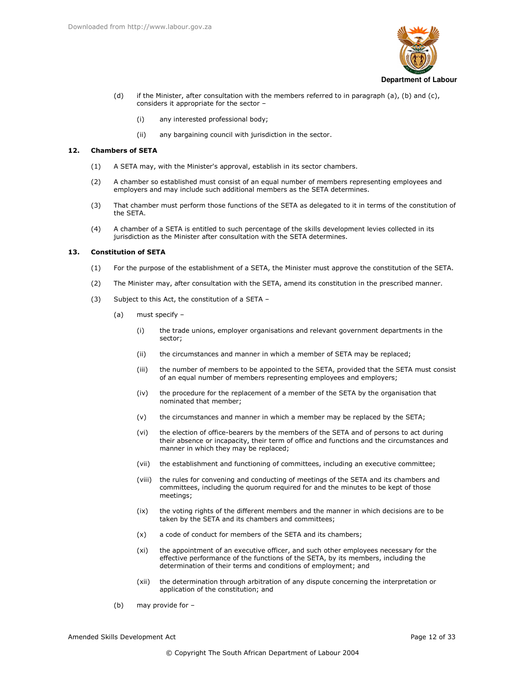

- $(d)$ if the Minister, after consultation with the members referred to in paragraph (a), (b) and (c), considers it appropriate for the sector -
	- $(i)$ any interested professional body;
	- $(iii)$ any bargaining council with jurisdiction in the sector.

#### $12<sub>1</sub>$ **Chambers of SETA**

- $(1)$ A SETA may, with the Minister's approval, establish in its sector chambers.
- A chamber so established must consist of an equal number of members representing employees and  $(2)$ employers and may include such additional members as the SETA determines.
- $(3)$ That chamber must perform those functions of the SETA as delegated to it in terms of the constitution of the SETA.
- A chamber of a SETA is entitled to such percentage of the skills development levies collected in its  $(4)$ jurisdiction as the Minister after consultation with the SETA determines.

#### 13. **Constitution of SETA**

- For the purpose of the establishment of a SETA, the Minister must approve the constitution of the SETA.  $(1)$
- $(2)$ The Minister may, after consultation with the SETA, amend its constitution in the prescribed manner.
- Subject to this Act, the constitution of a SETA - $(3)$ 
	- $(a)$ must specify -
		- $(i)$ the trade unions, employer organisations and relevant government departments in the sector<sup>.</sup>
		- the circumstances and manner in which a member of SETA may be replaced;  $(ii)$
		- $(iii)$ the number of members to be appointed to the SETA, provided that the SETA must consist of an equal number of members representing employees and employers;
		- $(iv)$ the procedure for the replacement of a member of the SETA by the organisation that nominated that member;
		- the circumstances and manner in which a member may be replaced by the SETA;  $(v)$
		- $(vi)$ the election of office-bearers by the members of the SETA and of persons to act during their absence or incapacity, their term of office and functions and the circumstances and manner in which they may be replaced;
		- the establishment and functioning of committees, including an executive committee;  $(vii)$
		- (viii) the rules for convening and conducting of meetings of the SETA and its chambers and committees, including the quorum required for and the minutes to be kept of those meetings;
		- the voting rights of the different members and the manner in which decisions are to be  $(ix)$ taken by the SETA and its chambers and committees;
		- a code of conduct for members of the SETA and its chambers;  $(x)$
		- $(xi)$ the appointment of an executive officer, and such other employees necessary for the effective performance of the functions of the SETA, by its members, including the determination of their terms and conditions of employment; and
		- (xii) the determination through arbitration of any dispute concerning the interpretation or application of the constitution; and
	- $(b)$ may provide for -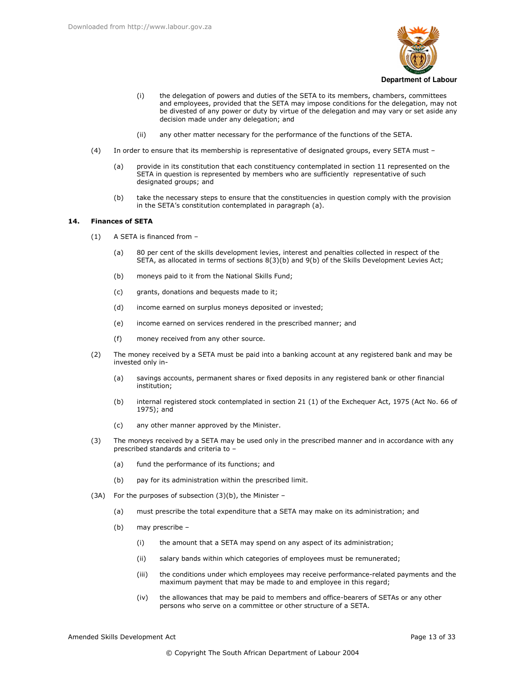

- the delegation of powers and duties of the SETA to its members, chambers, committees  $(i)$ and employees, provided that the SETA may impose conditions for the delegation, may not be divested of any power or duty by virtue of the delegation and may vary or set aside any decision made under any delegation; and
- $(ii)$ any other matter necessary for the performance of the functions of the SETA.
- In order to ensure that its membership is representative of designated groups, every SETA must - $(4)$ 
	- provide in its constitution that each constituency contemplated in section 11 represented on the  $(a)$ SETA in question is represented by members who are sufficiently representative of such designated groups; and
	- take the necessary steps to ensure that the constituencies in question comply with the provision  $(b)$ in the SETA's constitution contemplated in paragraph (a).

#### $14$ **Finances of SFTA**

- A SETA is financed from - $(1)$ 
	- 80 per cent of the skills development levies, interest and penalties collected in respect of the  $(a)$ SETA, as allocated in terms of sections 8(3)(b) and 9(b) of the Skills Development Levies Act;
	- $(b)$ moneys paid to it from the National Skills Fund;
	- $(c)$ grants, donations and bequests made to it;
	- $(d)$ income earned on surplus moneys deposited or invested;
	- (e) income earned on services rendered in the prescribed manner; and
	- $(f)$ money received from any other source.
- $(2)$ The money received by a SETA must be paid into a banking account at any registered bank and may be invested only in
	- savings accounts, permanent shares or fixed deposits in any registered bank or other financial  $(a)$ institution:
	- $(b)$ internal registered stock contemplated in section 21 (1) of the Exchequer Act, 1975 (Act No. 66 of 1975); and
	- $(c)$ any other manner approved by the Minister.
- The moneys received by a SETA may be used only in the prescribed manner and in accordance with any  $(3)$ prescribed standards and criteria to
	- fund the performance of its functions; and  $(a)$
	- $(b)$ pay for its administration within the prescribed limit.
- (3A) For the purposes of subsection (3)(b), the Minister -
	- $(a)$ must prescribe the total expenditure that a SETA may make on its administration; and
	- $(b)$ may prescribe -
		- $(i)$ the amount that a SETA may spend on any aspect of its administration;
		- $(ii)$ salary bands within which categories of employees must be remunerated;
		- $(iii)$ the conditions under which employees may receive performance-related payments and the maximum payment that may be made to and employee in this regard;
		- $(iv)$ the allowances that may be paid to members and office-bearers of SETAs or any other persons who serve on a committee or other structure of a SETA.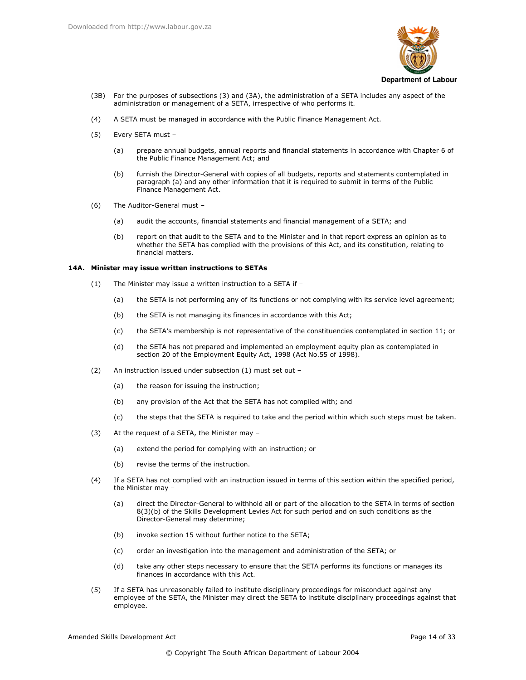

- (3B) For the purposes of subsections (3) and (3A), the administration of a SETA includes any aspect of the administration or management of a SETA, irrespective of who performs it.
- $(4)$ A SETA must be managed in accordance with the Public Finance Management Act.
- $(5)$ Every SETA must
	- prepare annual budgets, annual reports and financial statements in accordance with Chapter 6 of  $(a)$ the Public Finance Management Act; and
	- $(b)$ furnish the Director-General with copies of all budgets, reports and statements contemplated in paragraph (a) and any other information that it is required to submit in terms of the Public Finance Management Act.
- The Auditor-General must - $(6)$ 
	- $(a)$ audit the accounts, financial statements and financial management of a SETA; and
	- $(b)$ report on that audit to the SETA and to the Minister and in that report express an opinion as to whether the SETA has complied with the provisions of this Act, and its constitution, relating to financial matters.

## 14A. Minister may issue written instructions to SETAs

- The Minister may issue a written instruction to a SETA if - $(1)$ 
	- the SETA is not performing any of its functions or not complying with its service level agreement;  $(a)$
	- $(b)$ the SETA is not managing its finances in accordance with this Act;
	- $(c)$ the SETA's membership is not representative of the constituencies contemplated in section 11; or
	- $(d)$ the SETA has not prepared and implemented an employment equity plan as contemplated in section 20 of the Employment Equity Act, 1998 (Act No.55 of 1998).
- An instruction issued under subsection (1) must set out - $(2)$ 
	- the reason for issuing the instruction;  $(a)$
	- $(b)$ any provision of the Act that the SETA has not complied with; and
	- $(c)$ the steps that the SETA is required to take and the period within which such steps must be taken.
- $(3)$ At the request of a SETA, the Minister may -
	- $(a)$ extend the period for complying with an instruction; or
	- revise the terms of the instruction.  $(b)$
- $(4)$ If a SETA has not complied with an instruction issued in terms of this section within the specified period, the Minister may -
	- $(a)$ direct the Director-General to withhold all or part of the allocation to the SETA in terms of section 8(3)(b) of the Skills Development Levies Act for such period and on such conditions as the Director-General may determine;
	- $(b)$ invoke section 15 without further notice to the SETA;
	- $(c)$ order an investigation into the management and administration of the SETA; or
	- $(d)$ take any other steps necessary to ensure that the SETA performs its functions or manages its finances in accordance with this Act
- If a SETA has unreasonably failed to institute disciplinary proceedings for misconduct against any  $(5)$ employee of the SETA, the Minister may direct the SETA to institute disciplinary proceedings against that employee.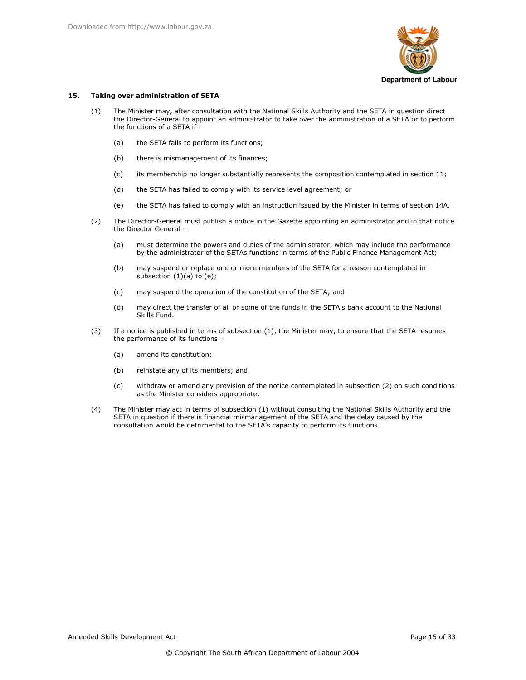

#### Taking over administration of SETA 15.

- The Minister may, after consultation with the National Skills Authority and the SETA in question direct  $(1)$ the Director-General to appoint an administrator to take over the administration of a SETA or to perform the functions of a SETA if -
	- $(a)$ the SETA fails to perform its functions;
	- $(b)$ there is mismanagement of its finances;
	- $(c)$ its membership no longer substantially represents the composition contemplated in section 11;
	- $(d)$ the SETA has failed to comply with its service level agreement; or
	- the SETA has failed to comply with an instruction issued by the Minister in terms of section 14A. (e)
- $(2)$ The Director-General must publish a notice in the Gazette appointing an administrator and in that notice the Director General
	- must determine the powers and duties of the administrator, which may include the performance  $(a)$ by the administrator of the SETAs functions in terms of the Public Finance Management Act;
	- $(b)$ may suspend or replace one or more members of the SETA for a reason contemplated in subsection  $(1)(a)$  to  $(e)$ ;
	- $(c)$ may suspend the operation of the constitution of the SETA; and
	- $(d)$ may direct the transfer of all or some of the funds in the SETA's bank account to the National Skills Fund.
- $(3)$ If a notice is published in terms of subsection (1), the Minister may, to ensure that the SETA resumes the performance of its functions
	- amend its constitution;  $(a)$
	- reinstate any of its members; and  $(b)$
	- withdraw or amend any provision of the notice contemplated in subsection (2) on such conditions  $(c)$ as the Minister considers appropriate.
- The Minister may act in terms of subsection (1) without consulting the National Skills Authority and the  $(4)$ SETA in question if there is financial mismanagement of the SETA and the delay caused by the consultation would be detrimental to the SETA's capacity to perform its functions.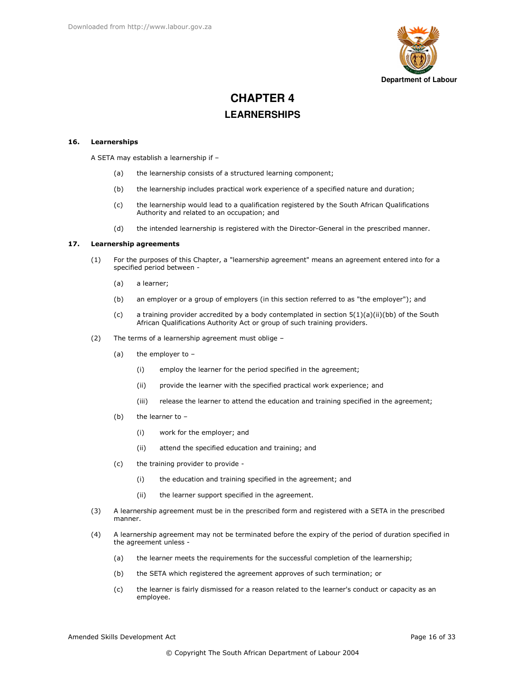

# **CHAPTER 4 LEARNERSHIPS**

#### 16. Learnerships

A SETA may establish a learnership if -

- $(a)$ the learnership consists of a structured learning component;
- $(b)$ the learnership includes practical work experience of a specified nature and duration;
- $(c)$ the learnership would lead to a qualification registered by the South African Qualifications Authority and related to an occupation; and
- $(d)$ the intended learnership is registered with the Director-General in the prescribed manner.

#### $17.$ **Learnership agreements**

- $(1)$ For the purposes of this Chapter, a "learnership agreement" means an agreement entered into for a specified period between -
	- $(a)$ a learner;
	- $(b)$ an employer or a group of employers (in this section referred to as "the employer"); and
	- $(c)$ a training provider accredited by a body contemplated in section  $5(1)(a)(ii)(bb)$  of the South African Qualifications Authority Act or group of such training providers.
- $(2)$ The terms of a learnership agreement must oblige -
	- $(a)$ the employer to -
		- $(i)$ employ the learner for the period specified in the agreement;
		- $(i)$ provide the learner with the specified practical work experience; and
		- release the learner to attend the education and training specified in the agreement;  $(iii)$
	- $(b)$ the learner to
		- work for the employer; and  $(i)$
		- $(ii)$ attend the specified education and training; and
	- the training provider to provide - $(c)$ 
		- the education and training specified in the agreement; and  $(i)$
		- $(ii)$ the learner support specified in the agreement.
- A learnership agreement must be in the prescribed form and registered with a SETA in the prescribed  $(3)$ manner.
- $(4)$ A learnership agreement may not be terminated before the expiry of the period of duration specified in the agreement unless
	- the learner meets the requirements for the successful completion of the learnership;  $(a)$
	- $(b)$ the SETA which registered the agreement approves of such termination; or
	- the learner is fairly dismissed for a reason related to the learner's conduct or capacity as an  $(c)$ employee.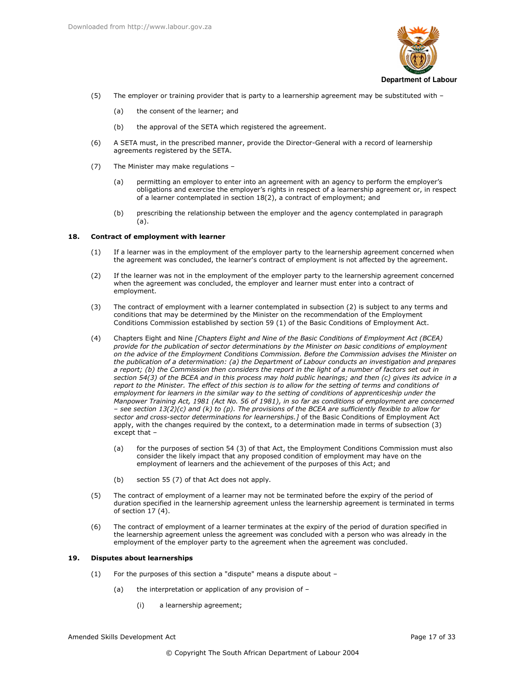

- $(5)$ The employer or training provider that is party to a learnership agreement may be substituted with -
	- $(a)$ the consent of the learner; and
	- the approval of the SETA which registered the agreement.  $(b)$
- $(6)$ A SETA must, in the prescribed manner, provide the Director-General with a record of learnership agreements registered by the SETA.
- $(7)$ The Minister may make regulations
	- permitting an employer to enter into an agreement with an agency to perform the employer's  $(a)$ obligations and exercise the employer's rights in respect of a learnership agreement or, in respect of a learner contemplated in section 18(2), a contract of employment; and
	- $(b)$ prescribing the relationship between the employer and the agency contemplated in paragraph  $(a).$

#### 18. Contract of employment with learner

- If a learner was in the employment of the employer party to the learnership agreement concerned when  $(1)$ the agreement was concluded, the learner's contract of employment is not affected by the agreement.
- $(2)$ If the learner was not in the employment of the employer party to the learnership agreement concerned when the agreement was concluded, the employer and learner must enter into a contract of employment.
- The contract of employment with a learner contemplated in subsection (2) is subject to any terms and  $(3)$ conditions that may be determined by the Minister on the recommendation of the Employment Conditions Commission established by section 59 (1) of the Basic Conditions of Employment Act.
- $(4)$ Chapters Eight and Nine [Chapters Eight and Nine of the Basic Conditions of Employment Act (BCEA) provide for the publication of sector determinations by the Minister on basic conditions of employment on the advice of the Employment Conditions Commission. Before the Commission advises the Minister on the publication of a determination: (a) the Department of Labour conducts an investigation and prepares a report; (b) the Commission then considers the report in the light of a number of factors set out in section  $54(3)$  of the BCEA and in this process may hold public hearings; and then (c) gives its advice in a report to the Minister. The effect of this section is to allow for the setting of terms and conditions of employment for learners in the similar way to the setting of conditions of apprenticeship under the Manpower Training Act, 1981 (Act No. 56 of 1981), in so far as conditions of employment are concerned - see section  $13(2)(c)$  and (k) to (p). The provisions of the BCEA are sufficiently flexible to allow for sector and cross-sector determinations for learnerships.] of the Basic Conditions of Employment Act apply, with the changes required by the context, to a determination made in terms of subsection (3) except that
	- for the purposes of section 54 (3) of that Act, the Employment Conditions Commission must also  $(a)$ consider the likely impact that any proposed condition of employment may have on the employment of learners and the achievement of the purposes of this Act; and
	- $(b)$ section 55 (7) of that Act does not apply.
- The contract of employment of a learner may not be terminated before the expiry of the period of  $(5)$ duration specified in the learnership agreement unless the learnership agreement is terminated in terms of section  $17(4)$ .
- $(6)$ The contract of employment of a learner terminates at the expiry of the period of duration specified in the learnership agreement unless the agreement was concluded with a person who was already in the employment of the employer party to the agreement when the agreement was concluded.

#### 19. **Disputes about learnerships**

- For the purposes of this section a "dispute" means a dispute about - $(1)$ 
	- the interpretation or application of any provision of - $(a)$ 
		- $(i)$ a learnership agreement;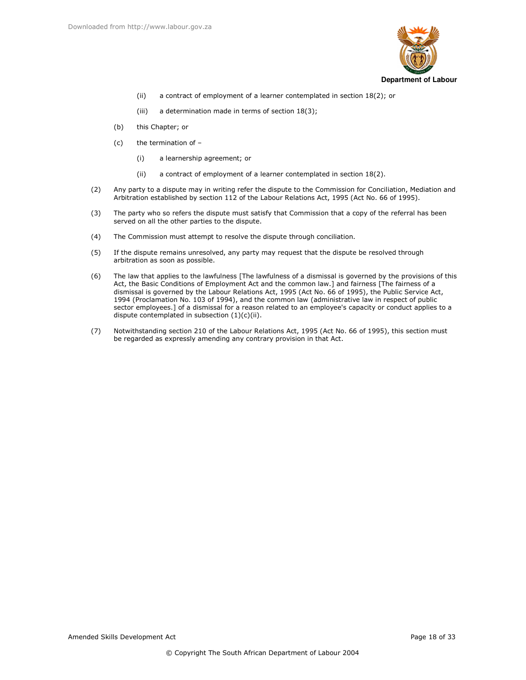

- a contract of employment of a learner contemplated in section 18(2); or  $(ii)$
- $(iii)$ a determination made in terms of section 18(3);
- this Chapter; or  $(b)$
- $(c)$ the termination of
	- a learnership agreement; or  $(i)$
	- $(ii)$ a contract of employment of a learner contemplated in section 18(2).
- Any party to a dispute may in writing refer the dispute to the Commission for Conciliation, Mediation and  $(2)$ Arbitration established by section 112 of the Labour Relations Act, 1995 (Act No. 66 of 1995).
- The party who so refers the dispute must satisfy that Commission that a copy of the referral has been  $(3)$ served on all the other parties to the dispute.
- $(4)$ The Commission must attempt to resolve the dispute through conciliation.
- $(5)$ If the dispute remains unresolved, any party may request that the dispute be resolved through arbitration as soon as possible.
- $(6)$ The law that applies to the lawfulness [The lawfulness of a dismissal is governed by the provisions of this Act, the Basic Conditions of Employment Act and the common law.] and fairness [The fairness of a dismissal is governed by the Labour Relations Act, 1995 (Act No. 66 of 1995), the Public Service Act, 1994 (Proclamation No. 103 of 1994), and the common law (administrative law in respect of public sector employees.] of a dismissal for a reason related to an employee's capacity or conduct applies to a dispute contemplated in subsection  $(1)(c)(ii)$ .
- $(7)$ Notwithstanding section 210 of the Labour Relations Act, 1995 (Act No. 66 of 1995), this section must be regarded as expressly amending any contrary provision in that Act.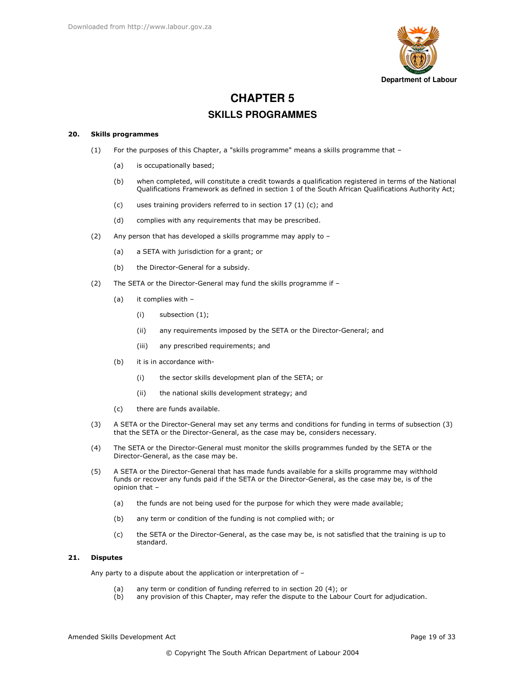

# **CHAPTER 5 SKILLS PROGRAMMES**

#### **Skills programmes** 20.

- For the purposes of this Chapter, a "skills programme" means a skills programme that - $(1)$ 
	- $(a)$ is occupationally based;
	- $(b)$ when completed, will constitute a credit towards a qualification registered in terms of the National Qualifications Framework as defined in section 1 of the South African Qualifications Authority Act;
	- $(c)$ uses training providers referred to in section 17 (1) (c); and
	- $(d)$ complies with any requirements that may be prescribed.
- Any person that has developed a skills programme may apply to - $(2)$ 
	- a SETA with jurisdiction for a grant; or  $(a)$
	- $(b)$ the Director-General for a subsidy.
- The SETA or the Director-General may fund the skills programme if - $(2)$ 
	- $(a)$ it complies with -
		- $(i)$ subsection (1);
		- $(ii)$ any requirements imposed by the SETA or the Director-General; and
		- any prescribed requirements; and  $(iii)$
	- $(b)$ it is in accordance with
		- the sector skills development plan of the SETA; or  $(i)$
		- $(ii)$ the national skills development strategy; and
	- $(c)$ there are funds available.
- $(3)$ A SETA or the Director-General may set any terms and conditions for funding in terms of subsection (3) that the SETA or the Director-General, as the case may be, considers necessary.
- $(4)$ The SETA or the Director-General must monitor the skills programmes funded by the SETA or the Director-General, as the case may be.
- A SETA or the Director-General that has made funds available for a skills programme may withhold  $(5)$ funds or recover any funds paid if the SETA or the Director-General, as the case may be, is of the opinion that
	- the funds are not being used for the purpose for which they were made available;  $(a)$
	- $(b)$ any term or condition of the funding is not complied with; or
	- $(c)$ the SETA or the Director-General, as the case may be, is not satisfied that the training is up to standard.

#### 21. **Disputes**

Any party to a dispute about the application or interpretation of -

- $(a)$ any term or condition of funding referred to in section 20 (4); or
- any provision of this Chapter, may refer the dispute to the Labour Court for adjudication.  $(b)$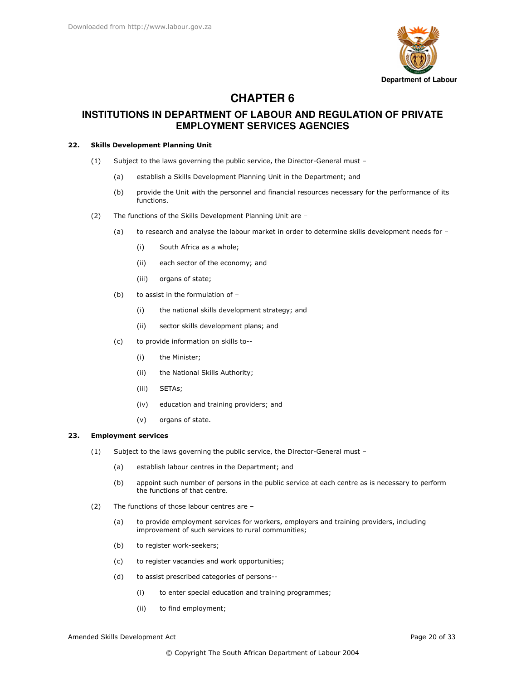

# **CHAPTER 6**

# **INSTITUTIONS IN DEPARTMENT OF LABOUR AND REGULATION OF PRIVATE EMPLOYMENT SERVICES AGENCIES**

## 22. Skills Development Planning Unit

- (1) Subject to the laws governing the public service, the Director-General must -
	- (a) establish a Skills Development Planning Unit in the Department; and
	- (b) provide the Unit with the personnel and financial resources necessary for the performance of its functions.
- $(2)$  The functions of the Skills Development Planning Unit are  $-$ 
	- $(a)$ research and analyse the labour market in order to determine skills development needs for  $-$ 
		- $(i)$ uth Africa as a whole;
		- (ii) each sector of the economy; and
		- $(iii)$ rgans of state;
	- $(b)$ assist in the formulation of  $-$ 
		- (i) the national skills development strategy; and
		- (ii) sector skills development plans; and
	- $(c)$ provide information on skills to--
		- (i) the Minister;
		- (ii) the National Skills Authority;
		- (iii) SETAs;
		- (iv) education and training providers; and
		- $(v)$ rgans of state.

#### 23. **Employment services**

- $(1)$  Subject to the laws governing the public service, the Director-General must  $-$ 
	- (a) establish labour centres in the Department; and
	- (b) appoint such number of persons in the public service at each centre as is necessary to perform the functions of that centre.
- $(2)$  The functions of those labour centres are  $-$ 
	- $(a)$ provide employment services for workers, employers and training providers, including improvement of such services to rural communities;
	- $(b)$ register work-seekers;
	- $(c)$ register vacancies and work opportunities;
	- $(d)$ assist prescribed categories of persons--
		- $(i)$ enter special education and training programmes;
		- $(ii)$ find employment;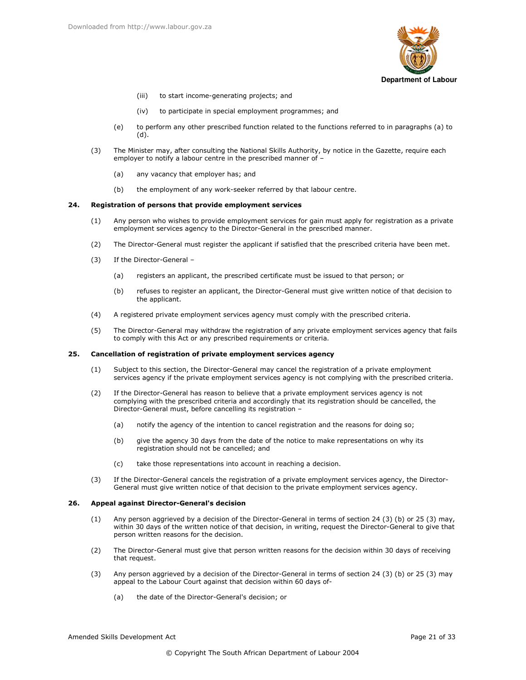

- $(iii)$ to start income-generating projects; and
- $(iv)$ to participate in special employment programmes; and
- to perform any other prescribed function related to the functions referred to in paragraphs (a) to  $(e)$  $(d)$ .
- The Minister may, after consulting the National Skills Authority, by notice in the Gazette, require each  $(3)$ employer to notify a labour centre in the prescribed manner of -
	- $(a)$ any vacancy that employer has; and
	- $(b)$ the employment of any work-seeker referred by that labour centre.

#### 24. Registration of persons that provide employment services

- $(1)$ Any person who wishes to provide employment services for gain must apply for registration as a private employment services agency to the Director-General in the prescribed manner.
- $(2)$ The Director-General must register the applicant if satisfied that the prescribed criteria have been met.
- If the Director-General - $(3)$ 
	- $(a)$ registers an applicant, the prescribed certificate must be issued to that person; or
	- $(b)$ refuses to register an applicant, the Director-General must give written notice of that decision to the applicant.
- $(4)$ A registered private employment services agency must comply with the prescribed criteria.
- $(5)$ The Director-General may withdraw the registration of any private employment services agency that fails to comply with this Act or any prescribed requirements or criteria.

#### 25. Cancellation of registration of private employment services agency

- Subject to this section, the Director-General may cancel the registration of a private employment  $(1)$ services agency if the private employment services agency is not complying with the prescribed criteria.
- If the Director-General has reason to believe that a private employment services agency is not  $(2)$ complying with the prescribed criteria and accordingly that its registration should be cancelled, the Director-General must, before cancelling its registration -
	- $(a)$ notify the agency of the intention to cancel registration and the reasons for doing so;
	- give the agency 30 days from the date of the notice to make representations on why its  $(b)$ registration should not be cancelled; and
	- take those representations into account in reaching a decision.  $(c)$
- $(3)$ If the Director-General cancels the registration of a private employment services agency, the Director-General must give written notice of that decision to the private employment services agency.

#### 26. Appeal against Director-General's decision

- Any person aggrieved by a decision of the Director-General in terms of section 24 (3) (b) or 25 (3) may,  $(1)$ within 30 days of the written notice of that decision, in writing, request the Director-General to give that person written reasons for the decision.
- The Director-General must give that person written reasons for the decision within 30 days of receiving  $(2)$ that request.
- $(3)$ Any person aggrieved by a decision of the Director-General in terms of section 24 (3) (b) or 25 (3) may appeal to the Labour Court against that decision within 60 days of
	- the date of the Director-General's decision; or  $(a)$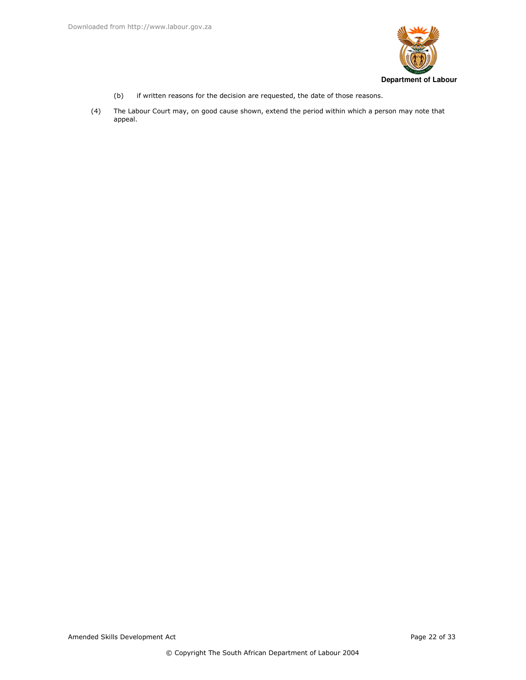

- if written reasons for the decision are requested, the date of those reasons.  $(b)$
- The Labour Court may, on good cause shown, extend the period within which a person may note that appeal.  $(4)$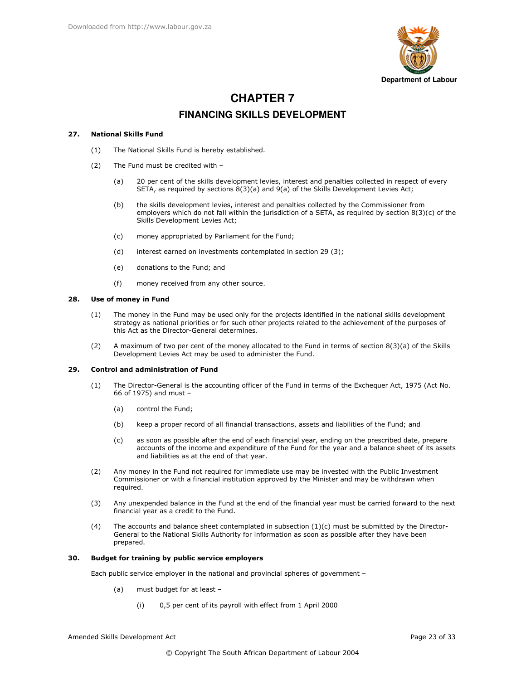

# **CHAPTER 7 FINANCING SKILLS DEVELOPMENT**

#### **National Skills Fund** 27.

- The National Skills Fund is hereby established.  $(1)$
- The Fund must be credited with - $(2)$ 
	- 20 per cent of the skills development levies, interest and penalties collected in respect of every  $(a)$ SETA, as required by sections  $8(3)(a)$  and  $9(a)$  of the Skills Development Levies Act;
	- the skills development levies, interest and penalties collected by the Commissioner from  $(b)$ employers which do not fall within the jurisdiction of a SETA, as required by section  $8(3)(c)$  of the Skills Development Levies Act:
	- money appropriated by Parliament for the Fund;  $(c)$
	- $(d)$ interest earned on investments contemplated in section 29 (3);
	- $(e)$ donations to the Fund; and
	- $(f)$ money received from any other source.

#### 28. Use of money in Fund

- $(1)$ The money in the Fund may be used only for the projects identified in the national skills development strategy as national priorities or for such other projects related to the achievement of the purposes of this Act as the Director-General determines.
- A maximum of two per cent of the money allocated to the Fund in terms of section 8(3)(a) of the Skills  $(2)$ Development Levies Act may be used to administer the Fund.

#### 29. **Control and administration of Fund**

- $(1)$ The Director-General is the accounting officer of the Fund in terms of the Exchequer Act, 1975 (Act No. 66 of 1975) and must -
	- $(a)$ control the Fund:
	- $(h)$ keep a proper record of all financial transactions, assets and liabilities of the Fund; and
	- as soon as possible after the end of each financial year, ending on the prescribed date, prepare  $(c)$ accounts of the income and expenditure of the Fund for the year and a balance sheet of its assets and liabilities as at the end of that year.
- Any money in the Fund not required for immediate use may be invested with the Public Investment  $(2)$ Commissioner or with a financial institution approved by the Minister and may be withdrawn when required.
- Any unexpended balance in the Fund at the end of the financial year must be carried forward to the next  $(3)$ financial year as a credit to the Fund.
- The accounts and balance sheet contemplated in subsection  $(1)(c)$  must be submitted by the Director- $(4)$ General to the National Skills Authority for information as soon as possible after they have been prepared.

#### 30. Budget for training by public service employers

Each public service employer in the national and provincial spheres of government -

- $(a)$ must budget for at least -
	- 0,5 per cent of its payroll with effect from 1 April 2000  $(i)$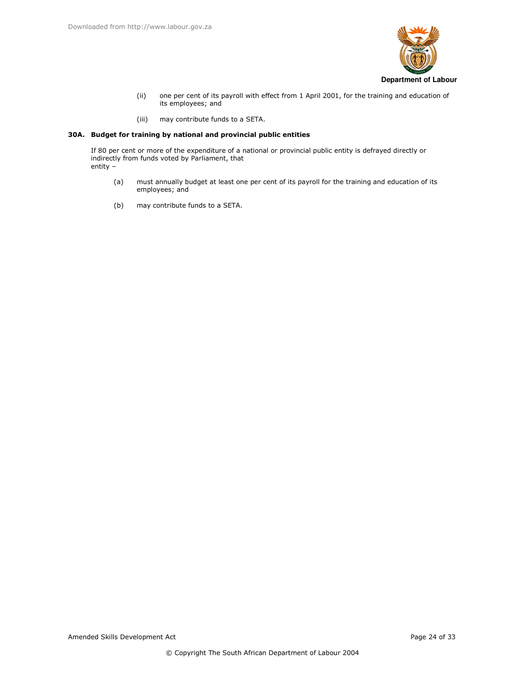

- $(ii)$ one per cent of its payroll with effect from 1 April 2001, for the training and education of its employees; and
- $(iii)$ may contribute funds to a SETA.

# 30A. Budget for training by national and provincial public entities

If 80 per cent or more of the expenditure of a national or provincial public entity is defrayed directly or indirectly from funds voted by Parliament, that entity -

- $(a)$ must annually budget at least one per cent of its payroll for the training and education of its employees; and
- $(b)$ may contribute funds to a SETA.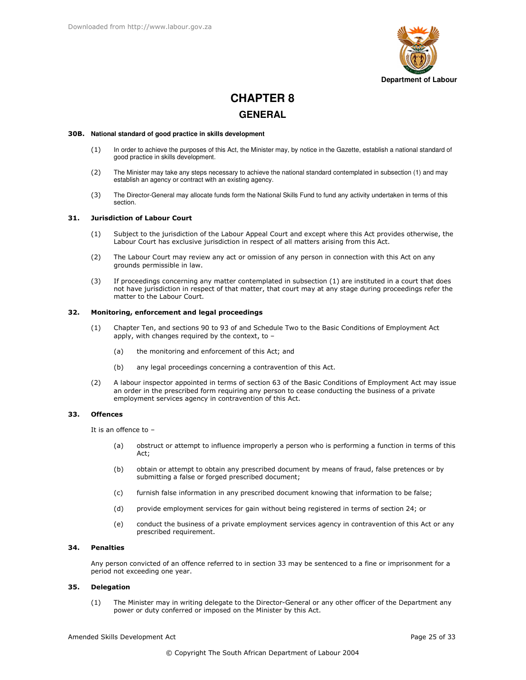

# **CHAPTER 8 GENERAL**

### 30B. National standard of good practice in skills development

- $(1)$ In order to achieve the purposes of this Act, the Minister may, by notice in the Gazette, establish a national standard of good practice in skills development.
- The Minister may take any steps necessary to achieve the national standard contemplated in subsection (1) and may  $(2)$ establish an agency or contract with an existing agency.
- The Director-General may allocate funds form the National Skills Fund to fund any activity undertaken in terms of this  $(3)$ section.

#### $31.$ **Jurisdiction of Labour Court**

- $(1)$ Subject to the jurisdiction of the Labour Appeal Court and except where this Act provides otherwise, the Labour Court has exclusive jurisdiction in respect of all matters arising from this Act.
- The Labour Court may review any act or omission of any person in connection with this Act on any  $(2)$ grounds permissible in law.
- If proceedings concerning any matter contemplated in subsection (1) are instituted in a court that does  $(3)$ not have jurisdiction in respect of that matter, that court may at any stage during proceedings refer the matter to the Labour Court.

#### 32. Monitoring, enforcement and legal proceedings

- Chapter Ten, and sections 90 to 93 of and Schedule Two to the Basic Conditions of Employment Act  $(1)$ apply, with changes required by the context, to  $$ 
	- the monitoring and enforcement of this Act; and  $(a)$
	- any legal proceedings concerning a contravention of this Act.  $(b)$
- A labour inspector appointed in terms of section 63 of the Basic Conditions of Employment Act may issue  $(2)$ an order in the prescribed form requiring any person to cease conducting the business of a private employment services agency in contravention of this Act.

#### 33 **Offences**

It is an offence to  $-$ 

- $(a)$ obstruct or attempt to influence improperly a person who is performing a function in terms of this Act;
- $(b)$ obtain or attempt to obtain any prescribed document by means of fraud, false pretences or by submitting a false or forged prescribed document;
- $(c)$ furnish false information in any prescribed document knowing that information to be false;
- $(d)$ provide employment services for gain without being registered in terms of section 24; or
- $(e)$ conduct the business of a private employment services agency in contravention of this Act or any prescribed requirement.

#### $34$ **Penalties**

Any person convicted of an offence referred to in section 33 may be sentenced to a fine or imprisonment for a period not exceeding one year.

#### 35. **Delegation**

 $(1)$ The Minister may in writing delegate to the Director-General or any other officer of the Department any power or duty conferred or imposed on the Minister by this Act.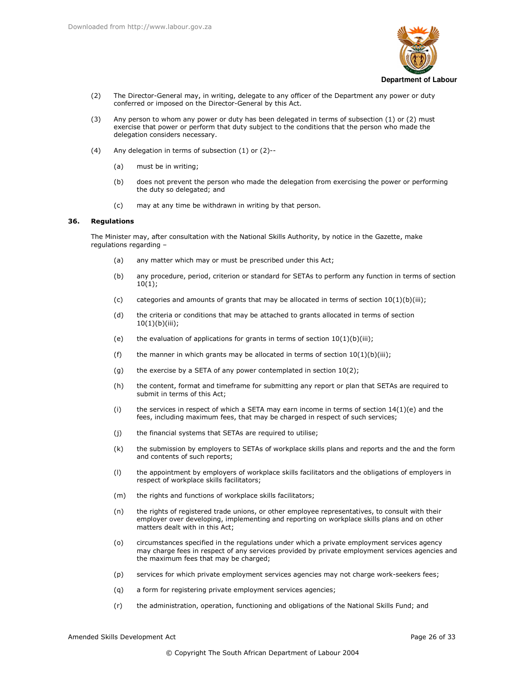

- The Director-General may, in writing, delegate to any officer of the Department any power or duty  $(2)$ conferred or imposed on the Director-General by this Act.
- Any person to whom any power or duty has been delegated in terms of subsection (1) or (2) must  $(3)$ exercise that power or perform that duty subject to the conditions that the person who made the delegation considers necessary.
- Any delegation in terms of subsection (1) or (2)-- $(4)$ 
	- $(a)$ must be in writing;
	- does not prevent the person who made the delegation from exercising the power or performing  $(b)$ the duty so delegated; and
	- $(c)$ may at any time be withdrawn in writing by that person.

#### 36 **Regulations**

The Minister may, after consultation with the National Skills Authority, by notice in the Gazette, make regulations regarding -

- any matter which may or must be prescribed under this Act;  $(a)$
- $(b)$ any procedure, period, criterion or standard for SETAs to perform any function in terms of section  $10(1);$
- $(c)$ categories and amounts of grants that may be allocated in terms of section  $10(1)(b)(iii)$ ;
- $(d)$ the criteria or conditions that may be attached to grants allocated in terms of section  $10(1)(b)(iii);$
- $(e)$ the evaluation of applications for grants in terms of section  $10(1)(b)(iii)$ ;
- the manner in which grants may be allocated in terms of section  $10(1)(b)(iii)$ ;  $(f)$
- the exercise by a SETA of any power contemplated in section 10(2);  $(g)$
- $(h)$ the content, format and timeframe for submitting any report or plan that SETAs are required to submit in terms of this Act;
- $(i)$ the services in respect of which a SETA may earn income in terms of section  $14(1)(e)$  and the fees, including maximum fees, that may be charged in respect of such services;
- $(i)$ the financial systems that SETAs are required to utilise;
- $(k)$ the submission by employers to SETAs of workplace skills plans and reports and the and the form and contents of such reports;
- the appointment by employers of workplace skills facilitators and the obligations of employers in  $(1)$ respect of workplace skills facilitators;
- $(m)$ the rights and functions of workplace skills facilitators;
- the rights of registered trade unions, or other employee representatives, to consult with their  $(n)$ employer over developing, implementing and reporting on workplace skills plans and on other matters dealt with in this Act:
- $(0)$ circumstances specified in the regulations under which a private employment services agency may charge fees in respect of any services provided by private employment services agencies and the maximum fees that may be charged;
- $(p)$ services for which private employment services agencies may not charge work-seekers fees;
- a form for registering private employment services agencies;  $(q)$
- the administration, operation, functioning and obligations of the National Skills Fund; and  $(r)$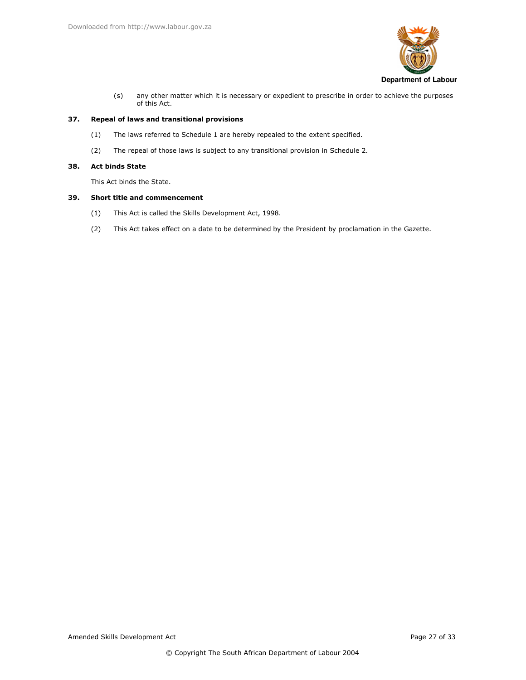

 $(s)$ any other matter which it is necessary or expedient to prescribe in order to achieve the purposes of this Act.

#### 37. Repeal of laws and transitional provisions

- $(1)$ The laws referred to Schedule 1 are hereby repealed to the extent specified.
- $(2)$ The repeal of those laws is subject to any transitional provision in Schedule 2.

#### 38. **Act binds State**

This Act binds the State.

#### 39. **Short title and commencement**

- $(1)$ This Act is called the Skills Development Act, 1998.
- $(2)$ This Act takes effect on a date to be determined by the President by proclamation in the Gazette.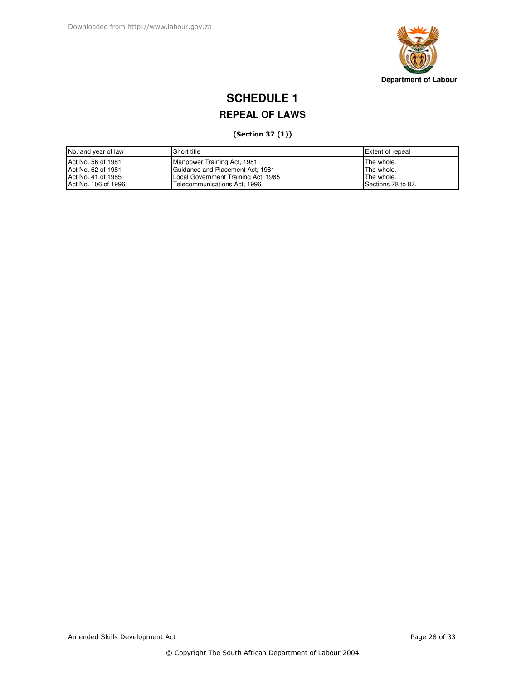

# **SCHEDULE 1**

# **REPEAL OF LAWS**

# (Section 37 (1))

| No. and year of law | Short title                         | Extent of repeal   |
|---------------------|-------------------------------------|--------------------|
| Act No. 56 of 1981  | Manpower Training Act, 1981         | The whole.         |
| Act No. 62 of 1981  | Guidance and Placement Act, 1981    | The whole.         |
| Act No. 41 of 1985  | Local Government Training Act, 1985 | The whole.         |
| Act No. 106 of 1996 | Telecommunications Act, 1996        | Sections 78 to 87. |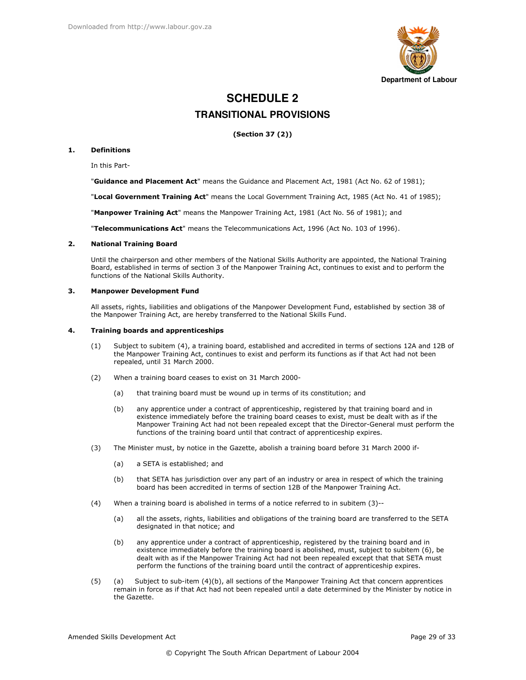

# **SCHEDULE 2 TRANSITIONAL PROVISIONS**

(Section 37 (2))

#### $\mathbf{1}$ . **Definitions**

In this Part-

"Guidance and Placement Act" means the Guidance and Placement Act, 1981 (Act No. 62 of 1981);

"Local Government Training Act" means the Local Government Training Act, 1985 (Act No. 41 of 1985);

"Manpower Training Act" means the Manpower Training Act, 1981 (Act No. 56 of 1981); and

"Telecommunications Act" means the Telecommunications Act, 1996 (Act No. 103 of 1996).

#### $\mathbf{z}$ **National Training Board**

Until the chairperson and other members of the National Skills Authority are appointed, the National Training Board, established in terms of section 3 of the Manpower Training Act, continues to exist and to perform the functions of the National Skills Authority.

#### $\mathbf{R}$ **Manpower Development Fund**

All assets, rights, liabilities and obligations of the Manpower Development Fund, established by section 38 of the Manpower Training Act, are hereby transferred to the National Skills Fund.

#### $\mathbf{4}$ . **Training boards and apprenticeships**

- Subject to subitem (4), a training board, established and accredited in terms of sections 12A and 12B of  $(1)$ the Manpower Training Act, continues to exist and perform its functions as if that Act had not been repealed, until 31 March 2000.
- $(2)$ When a training board ceases to exist on 31 March 2000
	- that training board must be wound up in terms of its constitution; and  $(a)$
	- any apprentice under a contract of apprenticeship, registered by that training board and in  $(b)$ existence immediately before the training board ceases to exist, must be dealt with as if the Manpower Training Act had not been repealed except that the Director-General must perform the functions of the training board until that contract of apprenticeship expires.
- $(3)$ The Minister must, by notice in the Gazette, abolish a training board before 31 March 2000 if-
	- $(a)$ a SETA is established; and
	- that SETA has jurisdiction over any part of an industry or area in respect of which the training  $(b)$ board has been accredited in terms of section 12B of the Manpower Training Act.
- $(4)$ When a training board is abolished in terms of a notice referred to in subitem (3)-
	- all the assets, rights, liabilities and obligations of the training board are transferred to the SETA  $(a)$ designated in that notice: and
	- any apprentice under a contract of apprenticeship, registered by the training board and in  $(b)$ existence immediately before the training board is abolished, must, subject to subitem (6), be dealt with as if the Manpower Training Act had not been repealed except that that SETA must perform the functions of the training board until the contract of apprenticeship expires.
- $(5)$ Subject to sub-item (4)(b), all sections of the Manpower Training Act that concern apprentices (a) remain in force as if that Act had not been repealed until a date determined by the Minister by notice in the Gazette.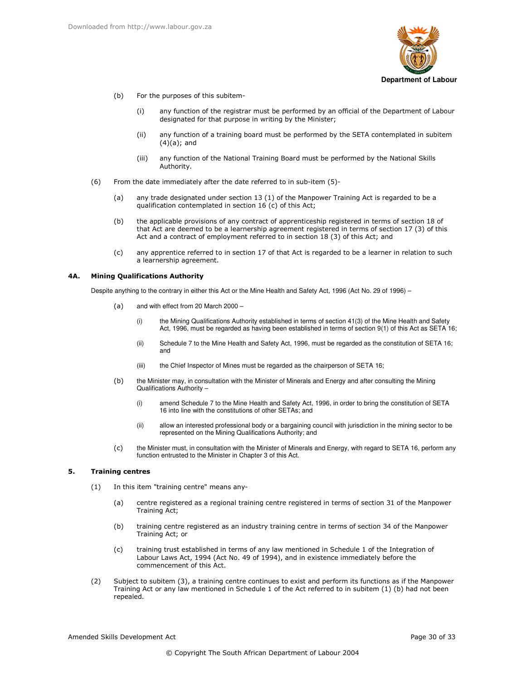

- $(b)$ r the purposes of this subitem-
	- (i) any function of the registrar must be performed by an official of the Department of Labour designated for that purpose in writing by the Minister;
	- (ii) any function of a training board must be performed by the SETA contemplated in subitem  $(4)(a)$ ; and
	- (iii) any function of the National Training Board must be performed by the National Skills Authority.
- $(6)$  From the date immediately after the date referred to in sub-item  $(5)$ -
	- (a) any trade designated under section 13 (1) of the Manpower Training Act is regarded to be a qualification contemplated in section 16 (c) of this Act;
	- (b) the applicable provisions of any contract of apprenticeship registered in terms of section 18 of that Act are deemed to be a learnership agreement registered in terms of section 17 (3) of this Act and a contract of employment referred to in section 18 (3) of this Act; and
	- (c) any apprentice referred to in section 17 of that Act is regarded to be a learner in relation to such a learnership agreement.

### 4A. Mining Qualifications Authority

Despite anything to the contrary in either this Act or the Mine Health and Safety Act, 1996 (Act No. 29 of 1996) –

- $(a)$  and with effect from 20 March 2000
	- (i) the Mining Qualifications Authority established in terms of section 41(3) of the Mine Health and Safety Act, 1996, must be regarded as having been established in terms of section 9(1) of this Act as SETA 16;
	- (ii) Schedule 7 to the Mine Health and Safety Act, 1996, must be regarded as the constitution of SETA 16; and
	- (iii) the Chief Inspector of Mines must be regarded as the chairperson of SETA 16;
- (b) the Minister may, in consultation with the Minister of Minerals and Energy and after consulting the Mining Qualifications Authority –
	- (i) amend Schedule 7 to the Mine Health and Safety Act, 1996, in order to bring the constitution of SETA 16 into line with the constitutions of other SETAs; and
	- (ii) allow an interested professional body or a bargaining council with jurisdiction in the mining sector to be represented on the Mining Qualifications Authority; and
- BC the Minister must, in consultation with the Minister of Minerals and Energy, with regard to SETA 16, perform any function entrusted to the Minister in Chapter 3 of this Act.

## 5. Training centres

- (1) In this item "training centre" means any-
	- (a) centre registered as a regional training centre registered in terms of section 31 of the Manpower Training Act;
	- (b) training centre registered as an industry training centre in terms of section 34 of the Manpower Training Act; or
	- (c) training trust established in terms of any law mentioned in Schedule 1 of the Integration of Labour Laws Act, 1994 (Act No. 49 of 1994), and in existence immediately before the commencement of this Act.
- (2) Subject to subitem (3), a training centre continues to exist and perform its functions as if the Manpower Training Act or any law mentioned in Schedule 1 of the Act referred to in subitem (1) (b) had not been repealed.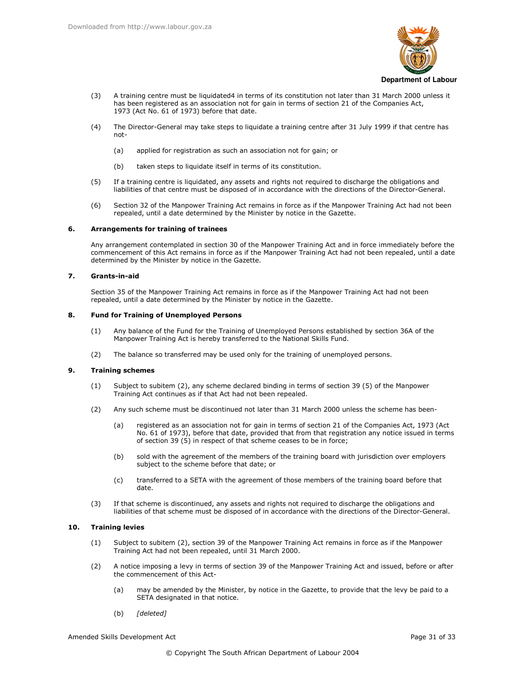

- A training centre must be liquidated4 in terms of its constitution not later than 31 March 2000 unless it  $(3)$ has been registered as an association not for gain in terms of section 21 of the Companies Act, 1973 (Act No. 61 of 1973) before that date.
- $(4)$ The Director-General may take steps to liquidate a training centre after 31 July 1999 if that centre has  $not-$ 
	- $(a)$ applied for registration as such an association not for gain; or
	- $(b)$ taken steps to liquidate itself in terms of its constitution.
- If a training centre is liquidated, any assets and rights not required to discharge the obligations and  $(5)$ liabilities of that centre must be disposed of in accordance with the directions of the Director-General.
- $(6)$ Section 32 of the Manpower Training Act remains in force as if the Manpower Training Act had not been repealed, until a date determined by the Minister by notice in the Gazette.

#### 6. **Arrangements for training of trainees**

Any arrangement contemplated in section 30 of the Manpower Training Act and in force immediately before the commencement of this Act remains in force as if the Manpower Training Act had not been repealed, until a date determined by the Minister by notice in the Gazette.

#### $\overline{ }$ Grants-in-aid

Section 35 of the Manpower Training Act remains in force as if the Manpower Training Act had not been repealed, until a date determined by the Minister by notice in the Gazette.

#### 8. **Fund for Training of Unemployed Persons**

- Any balance of the Fund for the Training of Unemployed Persons established by section 36A of the  $(1)$ Manpower Training Act is hereby transferred to the National Skills Fund.
- The balance so transferred may be used only for the training of unemployed persons.  $(2)$

#### 9. **Training schemes**

- Subject to subitem (2), any scheme declared binding in terms of section 39 (5) of the Manpower  $(1)$ Training Act continues as if that Act had not been repealed.
- $(2)$ Any such scheme must be discontinued not later than 31 March 2000 unless the scheme has been
	- registered as an association not for gain in terms of section 21 of the Companies Act, 1973 (Act  $(a)$ No. 61 of 1973), before that date, provided that from that registration any notice issued in terms of section 39  $(5)$  in respect of that scheme ceases to be in force;
	- $(b)$ sold with the agreement of the members of the training board with jurisdiction over employers subject to the scheme before that date; or
	- $(c)$ transferred to a SETA with the agreement of those members of the training board before that date
- $(3)$ If that scheme is discontinued, any assets and rights not required to discharge the obligations and liabilities of that scheme must be disposed of in accordance with the directions of the Director-General.

#### $10<sub>1</sub>$ **Training levies**

- $(1)$ Subject to subitem (2), section 39 of the Manpower Training Act remains in force as if the Manpower Training Act had not been repealed, until 31 March 2000.
- A notice imposing a levy in terms of section 39 of the Manpower Training Act and issued, before or after  $(2)$ the commencement of this Act
	- may be amended by the Minister, by notice in the Gazette, to provide that the levy be paid to a  $(a)$ SETA designated in that notice.
	- $(b)$ [deleted]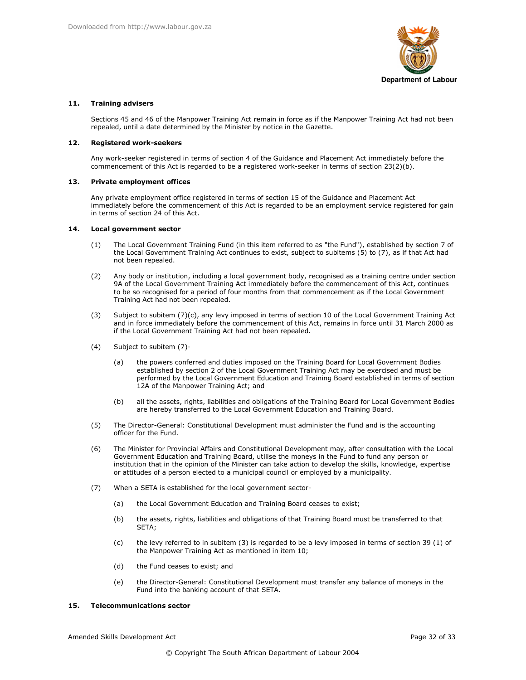

## 11. Training advisers

Sections 45 and 46 of the Manpower Training Act remain in force as if the Manpower Training Act had not been repealed, until a date determined by the Minister by notice in the Gazette.

#### $12.$ **Registered work-seekers**

Any work-seeker registered in terms of section 4 of the Guidance and Placement Act immediately before the commencement of this Act is regarded to be a registered work-seeker in terms of section 23(2)(b).

#### 13. **Private employment offices**

Any private employment office registered in terms of section 15 of the Guidance and Placement Act immediately before the commencement of this Act is regarded to be an employment service registered for gain in terms of section 24 of this Act.

#### **Local government sector** 14.

- The Local Government Training Fund (in this item referred to as "the Fund"), established by section 7 of  $(1)$ the Local Government Training Act continues to exist, subject to subitems (5) to (7), as if that Act had not been repealed.
- $(2)$ Any body or institution, including a local government body, recognised as a training centre under section 9A of the Local Government Training Act immediately before the commencement of this Act, continues to be so recognised for a period of four months from that commencement as if the Local Government Training Act had not been repealed.
- $(3)$ Subject to subitem (7)(c), any levy imposed in terms of section 10 of the Local Government Training Act and in force immediately before the commencement of this Act, remains in force until 31 March 2000 as if the Local Government Training Act had not been repealed.
- $(4)$ Subject to subitem (7)
	- the powers conferred and duties imposed on the Training Board for Local Government Bodies  $(a)$ established by section 2 of the Local Government Training Act may be exercised and must be performed by the Local Government Education and Training Board established in terms of section 12A of the Manpower Training Act; and
	- $(b)$ all the assets, rights, liabilities and obligations of the Training Board for Local Government Bodies are hereby transferred to the Local Government Education and Training Board.
- $(5)$ The Director-General: Constitutional Development must administer the Fund and is the accounting officer for the Fund.
- The Minister for Provincial Affairs and Constitutional Development may, after consultation with the Local  $(6)$ Government Education and Training Board, utilise the moneys in the Fund to fund any person or institution that in the opinion of the Minister can take action to develop the skills, knowledge, expertise or attitudes of a person elected to a municipal council or employed by a municipality.
- $(7)$ When a SETA is established for the local government sector
	- the Local Government Education and Training Board ceases to exist;  $(a)$
	- $(b)$ the assets, rights, liabilities and obligations of that Training Board must be transferred to that SETA;
	- $(c)$ the levy referred to in subitem (3) is regarded to be a levy imposed in terms of section 39 (1) of the Manpower Training Act as mentioned in item 10;
	- $(d)$ the Fund ceases to exist; and
	- the Director-General: Constitutional Development must transfer any balance of moneys in the  $(e)$ Fund into the banking account of that SETA.

#### 15. **Telecommunications sector**